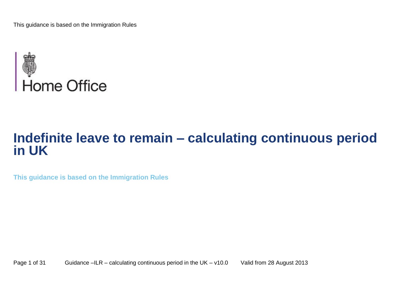

# **Indefinite leave to remain – calculating continuous period in UK**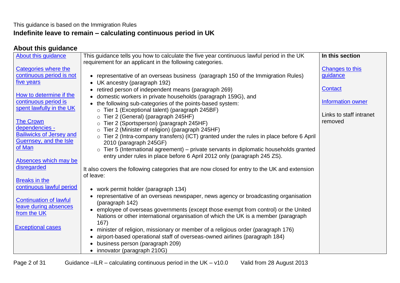## This guidance is based on the Immigration Rules **Indefinite leave to remain – calculating continuous period in UK**

# <span id="page-1-0"></span>**About this guidance**

| <b>About this guidance</b>      | This guidance tells you how to calculate the five year continuous lawful period in the UK<br>requirement for an applicant in the following categories. | In this section          |
|---------------------------------|--------------------------------------------------------------------------------------------------------------------------------------------------------|--------------------------|
| Categories where the            |                                                                                                                                                        | Changes to this          |
| continuous period is not        | • representative of an overseas business (paragraph 150 of the Immigration Rules)                                                                      | guidance                 |
| five years                      |                                                                                                                                                        |                          |
|                                 | • UK ancestry (paragraph 192)                                                                                                                          | <b>Contact</b>           |
| How to determine if the         | retired person of independent means (paragraph 269)                                                                                                    |                          |
| continuous period is            | domestic workers in private households (paragraph 159G), and                                                                                           | <b>Information owner</b> |
| spent lawfully in the UK        | the following sub-categories of the points-based system:                                                                                               |                          |
|                                 | o Tier 1 (Exceptional talent) (paragraph 245BF)                                                                                                        | Links to staff intranet  |
| <b>The Crown</b>                | o Tier 2 (General) (paragraph 245HF)                                                                                                                   | removed                  |
| dependencies -                  | Tier 2 (Sportsperson) (paragraph 245HF)<br>$\circ$                                                                                                     |                          |
| <b>Bailiwicks of Jersey and</b> | Tier 2 (Minister of religion) (paragraph 245HF)                                                                                                        |                          |
| Guernsey, and the Isle          | Tier 2 (Intra-company transfers) (ICT) granted under the rules in place before 6 April<br>$\circ$                                                      |                          |
| of Man                          | 2010 (paragraph 245GF)                                                                                                                                 |                          |
|                                 | $\circ$ Tier 5 (International agreement) – private servants in diplomatic households granted                                                           |                          |
| Absences which may be           | entry under rules in place before 6 April 2012 only (paragraph 245 ZS).                                                                                |                          |
| disregarded                     |                                                                                                                                                        |                          |
|                                 | It also covers the following categories that are now closed for entry to the UK and extension                                                          |                          |
| <b>Breaks in the</b>            | of leave:                                                                                                                                              |                          |
| continuous lawful period        | • work permit holder (paragraph 134)                                                                                                                   |                          |
|                                 | representative of an overseas newspaper, news agency or broadcasting organisation                                                                      |                          |
| <b>Continuation of lawful</b>   | (paragraph 142)                                                                                                                                        |                          |
| leave during absences           | • employee of overseas governments (except those exempt from control) or the United                                                                    |                          |
| from the UK                     | Nations or other international organisation of which the UK is a member (paragraph                                                                     |                          |
|                                 | 167)                                                                                                                                                   |                          |
| <b>Exceptional cases</b>        | minister of religion, missionary or member of a religious order (paragraph 176)                                                                        |                          |
|                                 | airport-based operational staff of overseas-owned airlines (paragraph 184)                                                                             |                          |
|                                 | business person (paragraph 209)                                                                                                                        |                          |
|                                 | • innovator (paragraph 210G)                                                                                                                           |                          |
|                                 |                                                                                                                                                        |                          |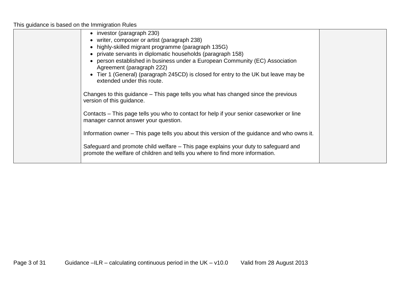| • investor (paragraph 230)                                                                                                                                           |  |
|----------------------------------------------------------------------------------------------------------------------------------------------------------------------|--|
| • writer, composer or artist (paragraph 238)                                                                                                                         |  |
| • highly-skilled migrant programme (paragraph 135G)                                                                                                                  |  |
| • private servants in diplomatic households (paragraph 158)                                                                                                          |  |
| person established in business under a European Community (EC) Association<br>$\bullet$<br>Agreement (paragraph 222)                                                 |  |
| Tier 1 (General) (paragraph 245CD) is closed for entry to the UK but leave may be<br>extended under this route.                                                      |  |
| Changes to this guidance – This page tells you what has changed since the previous<br>version of this guidance.                                                      |  |
| Contacts – This page tells you who to contact for help if your senior caseworker or line<br>manager cannot answer your question.                                     |  |
| Information owner – This page tells you about this version of the guidance and who owns it.                                                                          |  |
| Safeguard and promote child welfare - This page explains your duty to safeguard and<br>promote the welfare of children and tells you where to find more information. |  |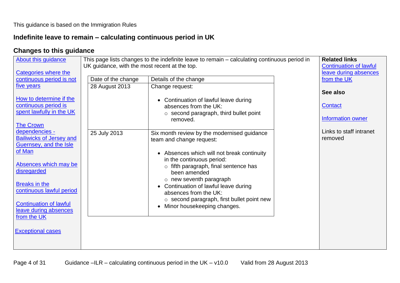# **Indefinite leave to remain – calculating continuous period in UK**

# <span id="page-3-0"></span>**Changes to this guidance**

| About this guidance<br>Categories where the                                                                                                                                                                                                                                            | UK guidance, with the most recent at the top. | This page lists changes to the indefinite leave to remain - calculating continuous period in                                                                                                                                                                                                                                                                                                                                     | <b>Related links</b><br><b>Continuation of lawful</b><br>leave during absences |
|----------------------------------------------------------------------------------------------------------------------------------------------------------------------------------------------------------------------------------------------------------------------------------------|-----------------------------------------------|----------------------------------------------------------------------------------------------------------------------------------------------------------------------------------------------------------------------------------------------------------------------------------------------------------------------------------------------------------------------------------------------------------------------------------|--------------------------------------------------------------------------------|
| continuous period is not                                                                                                                                                                                                                                                               | Date of the change                            | Details of the change                                                                                                                                                                                                                                                                                                                                                                                                            | from the UK                                                                    |
| five years                                                                                                                                                                                                                                                                             | 28 August 2013                                | Change request:                                                                                                                                                                                                                                                                                                                                                                                                                  |                                                                                |
| How to determine if the<br>continuous period is<br>spent lawfully in the UK<br><b>The Crown</b>                                                                                                                                                                                        |                                               | Continuation of lawful leave during<br>absences from the UK:<br>$\circ$ second paragraph, third bullet point<br>removed.                                                                                                                                                                                                                                                                                                         | See also<br><b>Contact</b><br><b>Information owner</b>                         |
| dependencies -<br><b>Bailiwicks of Jersey and</b><br>Guernsey, and the Isle<br>of Man<br>Absences which may be<br>disregarded<br><b>Breaks in the</b><br>continuous lawful period<br><b>Continuation of lawful</b><br>leave during absences<br>from the UK<br><b>Exceptional cases</b> | 25 July 2013                                  | Six month review by the modernised guidance<br>team and change request:<br>Absences which will not break continuity<br>in the continuous period:<br>fifth paragraph, final sentence has<br>$\circ$<br>been amended<br>$\circ$ new seventh paragraph<br>Continuation of lawful leave during<br>$\bullet$<br>absences from the UK:<br>$\circ$ second paragraph, first bullet point new<br>Minor housekeeping changes.<br>$\bullet$ | Links to staff intranet<br>removed                                             |
|                                                                                                                                                                                                                                                                                        |                                               |                                                                                                                                                                                                                                                                                                                                                                                                                                  |                                                                                |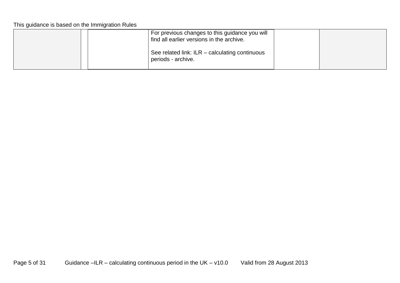|  | For previous changes to this guidance you will<br>find all earlier versions in the archive. |  |
|--|---------------------------------------------------------------------------------------------|--|
|  | See related link: ILR – calculating continuous<br>periods - archive.                        |  |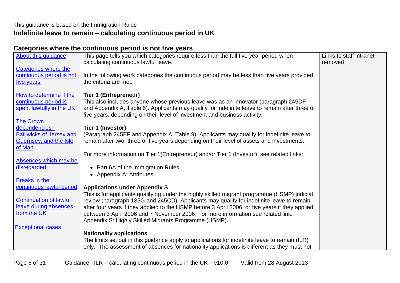# **Indefinite leave to remain – calculating continuous period in UK**

# <span id="page-5-0"></span>**Categories where the continuous period is not five years**

| About this guidance                                    | This page tells you which categories require less than the full five year period when<br>calculating continuous lawful leave.                                                       | Links to staff intranet<br>removed |
|--------------------------------------------------------|-------------------------------------------------------------------------------------------------------------------------------------------------------------------------------------|------------------------------------|
| Categories where the                                   |                                                                                                                                                                                     |                                    |
| continuous period is not                               | In the following work categories the continuous period may be less than five years provided                                                                                         |                                    |
| five years                                             | the criteria are met.                                                                                                                                                               |                                    |
| How to determine if the                                | <b>Tier 1 (Entrepreneur)</b>                                                                                                                                                        |                                    |
| continuous period is                                   | This also includes anyone whose previous leave was as an innovator (paragraph 245DF                                                                                                 |                                    |
| spent lawfully in the UK                               | and Appendix A, Table 6). Applicants may qualify for indefinite leave to remain after three or                                                                                      |                                    |
|                                                        | five years, depending on their level of investment and business activity.                                                                                                           |                                    |
| <b>The Crown</b>                                       |                                                                                                                                                                                     |                                    |
| dependencies -                                         | Tier 1 (Investor)                                                                                                                                                                   |                                    |
| <b>Bailiwicks of Jersey and</b>                        | (Paragraph 245EF and Appendix A, Table 9). Applicants may qualify for indefinite leave to                                                                                           |                                    |
| Guernsey, and the Isle                                 | remain after two, three or five years depending on their level of assets and investments.                                                                                           |                                    |
| of Man                                                 | For more information on Tier 1(Entrepreneur) and/or Tier 1 (Investor), see related links:                                                                                           |                                    |
| Absences which may be                                  |                                                                                                                                                                                     |                                    |
| disregarded                                            | • Part 6A of the Immigration Rules                                                                                                                                                  |                                    |
|                                                        | • Appendix A: Attributes.                                                                                                                                                           |                                    |
| <b>Breaks in the</b>                                   |                                                                                                                                                                                     |                                    |
| continuous lawful period                               | <b>Applications under Appendix S</b>                                                                                                                                                |                                    |
|                                                        | This is for applicants qualifying under the highly skilled migrant programme (HSMP) judicial                                                                                        |                                    |
| <b>Continuation of lawful</b><br>leave during absences | review (paragraph 135G and 245CD). Applicants may qualify for indefinite leave to remain                                                                                            |                                    |
| from the UK                                            | after four years if they applied to the HSMP before 3 April 2006, or five years if they applied<br>between 3 April 2006 and 7 November 2006. For more information see related link: |                                    |
|                                                        | Appendix S: Highly Skilled Migrants Programme (HSMP).                                                                                                                               |                                    |
| <b>Exceptional cases</b>                               |                                                                                                                                                                                     |                                    |
|                                                        | <b>Nationality applications</b>                                                                                                                                                     |                                    |
|                                                        | The limits set out in this guidance apply to applications for indefinite leave to remain (ILR)                                                                                      |                                    |
|                                                        | only. The assessment of absences for nationality applications is different as they must not                                                                                         |                                    |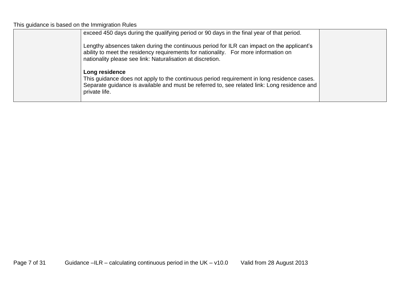| exceed 450 days during the qualifying period or 90 days in the final year of that period.<br>Lengthy absences taken during the continuous period for ILR can impact on the applicant's<br>ability to meet the residency requirements for nationality. For more information on<br>nationality please see link: Naturalisation at discretion. |  |
|---------------------------------------------------------------------------------------------------------------------------------------------------------------------------------------------------------------------------------------------------------------------------------------------------------------------------------------------|--|
| Long residence<br>This guidance does not apply to the continuous period requirement in long residence cases.<br>Separate guidance is available and must be referred to, see related link: Long residence and<br>private life.                                                                                                               |  |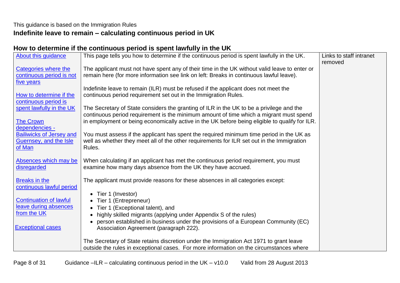# This guidance is based on the Immigration Rules **Indefinite leave to remain – calculating continuous period in UK**

# <span id="page-7-0"></span>**How to determine if the continuous period is spent lawfully in the UK**

| About this guidance                                                                   | This page tells you how to determine if the continuous period is spent lawfully in the UK.                                                                                                                                                                                           | Links to staff intranet<br>removed |
|---------------------------------------------------------------------------------------|--------------------------------------------------------------------------------------------------------------------------------------------------------------------------------------------------------------------------------------------------------------------------------------|------------------------------------|
| <b>Categories where the</b><br>continuous period is not<br>five years                 | The applicant must not have spent any of their time in the UK without valid leave to enter or<br>remain here (for more information see link on left: Breaks in continuous lawful leave).                                                                                             |                                    |
| How to determine if the<br>continuous period is                                       | Indefinite leave to remain (ILR) must be refused if the applicant does not meet the<br>continuous period requirement set out in the Immigration Rules.                                                                                                                               |                                    |
| spent lawfully in the UK<br><b>The Crown</b>                                          | The Secretary of State considers the granting of ILR in the UK to be a privilege and the<br>continuous period requirement is the minimum amount of time which a migrant must spend<br>in employment or being economically active in the UK before being eligible to qualify for ILR. |                                    |
| dependencies -<br><b>Bailiwicks of Jersey and</b><br>Guernsey, and the Isle<br>of Man | You must assess if the applicant has spent the required minimum time period in the UK as<br>well as whether they meet all of the other requirements for ILR set out in the Immigration<br>Rules.                                                                                     |                                    |
| Absences which may be<br>disregarded                                                  | When calculating if an applicant has met the continuous period requirement, you must<br>examine how many days absence from the UK they have accrued.                                                                                                                                 |                                    |
| <b>Breaks in the</b><br>continuous lawful period                                      | The applicant must provide reasons for these absences in all categories except:<br>Tier 1 (Investor)                                                                                                                                                                                 |                                    |
| <b>Continuation of lawful</b><br>leave during absences<br>from the UK                 | Tier 1 (Entrepreneur)<br>Tier 1 (Exceptional talent), and                                                                                                                                                                                                                            |                                    |
| <b>Exceptional cases</b>                                                              | highly skilled migrants (applying under Appendix S of the rules)<br>person established in business under the provisions of a European Community (EC)<br>Association Agreement (paragraph 222).                                                                                       |                                    |
|                                                                                       | The Secretary of State retains discretion under the Immigration Act 1971 to grant leave<br>outside the rules in exceptional cases. For more information on the circumstances where                                                                                                   |                                    |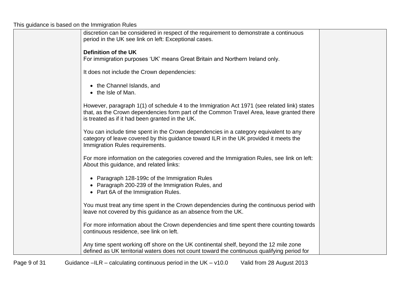| discretion can be considered in respect of the requirement to demonstrate a continuous<br>period in the UK see link on left: Exceptional cases.                                                                                            |  |
|--------------------------------------------------------------------------------------------------------------------------------------------------------------------------------------------------------------------------------------------|--|
| Definition of the UK<br>For immigration purposes 'UK' means Great Britain and Northern Ireland only.                                                                                                                                       |  |
| It does not include the Crown dependencies:                                                                                                                                                                                                |  |
| • the Channel Islands, and<br>• the Isle of Man.                                                                                                                                                                                           |  |
| However, paragraph 1(1) of schedule 4 to the Immigration Act 1971 (see related link) states<br>that, as the Crown dependencies form part of the Common Travel Area, leave granted there<br>is treated as if it had been granted in the UK. |  |
| You can include time spent in the Crown dependencies in a category equivalent to any<br>category of leave covered by this guidance toward ILR in the UK provided it meets the<br>Immigration Rules requirements.                           |  |
| For more information on the categories covered and the Immigration Rules, see link on left:<br>About this guidance, and related links:                                                                                                     |  |
| • Paragraph 128-199c of the Immigration Rules<br>• Paragraph 200-239 of the Immigration Rules, and<br>• Part 6A of the Immigration Rules.                                                                                                  |  |
| You must treat any time spent in the Crown dependencies during the continuous period with<br>leave not covered by this guidance as an absence from the UK.                                                                                 |  |
| For more information about the Crown dependencies and time spent there counting towards<br>continuous residence, see link on left.                                                                                                         |  |
| Any time spent working off shore on the UK continental shelf, beyond the 12 mile zone<br>defined as UK territorial waters does not count toward the continuous qualifying period for                                                       |  |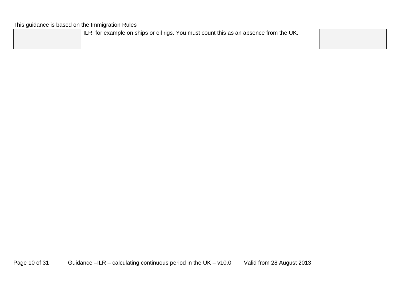| ILR, for example on ships or oil rigs. You must count this as an absence from the UK. |  |
|---------------------------------------------------------------------------------------|--|
|                                                                                       |  |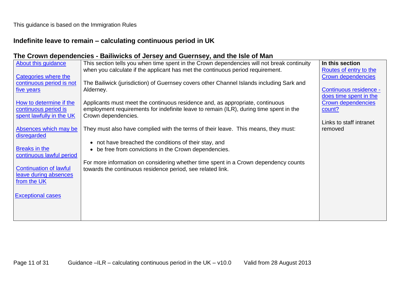# <span id="page-10-0"></span>**Indefinite leave to remain – calculating continuous period in UK**

## **The Crown dependencies - Bailiwicks of Jersey and Guernsey, and the Isle of Man**

| About this guidance           | This section tells you when time spent in the Crown dependencies will not break continuity | In this section           |
|-------------------------------|--------------------------------------------------------------------------------------------|---------------------------|
|                               | when you calculate if the applicant has met the continuous period requirement.             | Routes of entry to the    |
| Categories where the          |                                                                                            | <b>Crown dependencies</b> |
| continuous period is not      | The Bailiwick (jurisdiction) of Guernsey covers other Channel Islands including Sark and   |                           |
| five years                    | Alderney.                                                                                  | Continuous residence -    |
|                               |                                                                                            | does time spent in the    |
| How to determine if the       | Applicants must meet the continuous residence and, as appropriate, continuous              | Crown dependencies        |
| continuous period is          | employment requirements for indefinite leave to remain (ILR), during time spent in the     | count?                    |
| spent lawfully in the UK      | Crown dependencies.                                                                        |                           |
|                               |                                                                                            | Links to staff intranet   |
| Absences which may be         | They must also have complied with the terms of their leave. This means, they must:         | removed                   |
| disregarded                   |                                                                                            |                           |
| Breaks in the                 | not have breached the conditions of their stay, and<br>$\bullet$                           |                           |
| continuous lawful period      | be free from convictions in the Crown dependencies.<br>$\bullet$                           |                           |
|                               | For more information on considering whether time spent in a Crown dependency counts        |                           |
| <b>Continuation of lawful</b> | towards the continuous residence period, see related link.                                 |                           |
| leave during absences         |                                                                                            |                           |
| from the UK                   |                                                                                            |                           |
|                               |                                                                                            |                           |
| <b>Exceptional cases</b>      |                                                                                            |                           |
|                               |                                                                                            |                           |
|                               |                                                                                            |                           |
|                               |                                                                                            |                           |
|                               |                                                                                            |                           |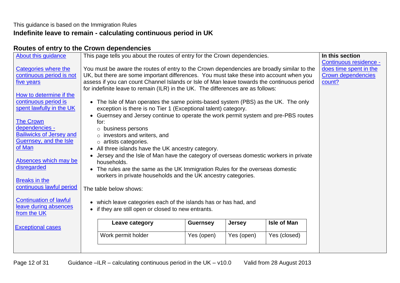# <span id="page-11-0"></span>This guidance is based on the Immigration Rules **Indefinite leave to remain - calculating continuous period in UK**

## **Routes of entry to the Crown dependencies**

| <b>About this guidance</b>                                                                                                                                                                                                                                                                                                                                                                                              |                        | This page tells you about the routes of entry for the Crown dependencies.                                                                                                                                                                                                                                                                                                                                                                                                                                                                                                                                                                                                                                                                                                                                                                                                                                                                                                                                                                                                                                                                                                            |                 |            |                    | In this section                                                                         |
|-------------------------------------------------------------------------------------------------------------------------------------------------------------------------------------------------------------------------------------------------------------------------------------------------------------------------------------------------------------------------------------------------------------------------|------------------------|--------------------------------------------------------------------------------------------------------------------------------------------------------------------------------------------------------------------------------------------------------------------------------------------------------------------------------------------------------------------------------------------------------------------------------------------------------------------------------------------------------------------------------------------------------------------------------------------------------------------------------------------------------------------------------------------------------------------------------------------------------------------------------------------------------------------------------------------------------------------------------------------------------------------------------------------------------------------------------------------------------------------------------------------------------------------------------------------------------------------------------------------------------------------------------------|-----------------|------------|--------------------|-----------------------------------------------------------------------------------------|
| <b>Categories where the</b><br>continuous period is not<br>five years<br>How to determine if the<br>continuous period is<br>spent lawfully in the UK<br><b>The Crown</b><br>dependencies -<br><b>Bailiwicks of Jersey and</b><br>Guernsey, and the Isle<br>of Man<br>Absences which may be<br>disregarded<br><b>Breaks in the</b><br>continuous lawful period<br><b>Continuation of lawful</b><br>leave during absences | $\bullet$<br>$\bullet$ | You must be aware the routes of entry to the Crown dependencies are broadly similar to the<br>UK, but there are some important differences. You must take these into account when you<br>assess if you can count Channel Islands or Isle of Man leave towards the continuous period<br>for indefinite leave to remain (ILR) in the UK. The differences are as follows:<br>The Isle of Man operates the same points-based system (PBS) as the UK. The only<br>exception is there is no Tier 1 (Exceptional talent) category.<br>Guernsey and Jersey continue to operate the work permit system and pre-PBS routes<br>for:<br>$\circ$ business persons<br>$\circ$ investors and writers, and<br>o artists categories.<br>• All three islands have the UK ancestry category.<br>Jersey and the Isle of Man have the category of overseas domestic workers in private<br>households.<br>• The rules are the same as the UK Immigration Rules for the overseas domestic<br>workers in private households and the UK ancestry categories.<br>The table below shows:<br>which leave categories each of the islands has or has had, and<br>if they are still open or closed to new entrants. |                 |            |                    | Continuous residence -<br>does time spent in the<br><b>Crown dependencies</b><br>count? |
| from the UK                                                                                                                                                                                                                                                                                                                                                                                                             |                        |                                                                                                                                                                                                                                                                                                                                                                                                                                                                                                                                                                                                                                                                                                                                                                                                                                                                                                                                                                                                                                                                                                                                                                                      |                 |            |                    |                                                                                         |
| <b>Exceptional cases</b>                                                                                                                                                                                                                                                                                                                                                                                                |                        | Leave category                                                                                                                                                                                                                                                                                                                                                                                                                                                                                                                                                                                                                                                                                                                                                                                                                                                                                                                                                                                                                                                                                                                                                                       | <b>Guernsey</b> | Jersey     | <b>Isle of Man</b> |                                                                                         |
|                                                                                                                                                                                                                                                                                                                                                                                                                         |                        | Work permit holder                                                                                                                                                                                                                                                                                                                                                                                                                                                                                                                                                                                                                                                                                                                                                                                                                                                                                                                                                                                                                                                                                                                                                                   | Yes (open)      | Yes (open) | Yes (closed)       |                                                                                         |
|                                                                                                                                                                                                                                                                                                                                                                                                                         |                        |                                                                                                                                                                                                                                                                                                                                                                                                                                                                                                                                                                                                                                                                                                                                                                                                                                                                                                                                                                                                                                                                                                                                                                                      |                 |            |                    |                                                                                         |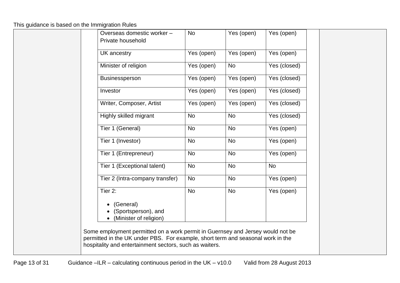| Private household                                          |            | Yes (open) | Yes (open)   |
|------------------------------------------------------------|------------|------------|--------------|
| <b>UK</b> ancestry                                         | Yes (open) | Yes (open) | Yes (open)   |
| Minister of religion                                       | Yes (open) | No         | Yes (closed) |
| <b>Businessperson</b>                                      | Yes (open) | Yes (open) | Yes (closed) |
| Investor                                                   | Yes (open) | Yes (open) | Yes (closed) |
| Writer, Composer, Artist                                   | Yes (open) | Yes (open) | Yes (closed) |
| Highly skilled migrant                                     | <b>No</b>  | <b>No</b>  | Yes (closed) |
| Tier 1 (General)                                           | <b>No</b>  | No         | Yes (open)   |
| Tier 1 (Investor)                                          | <b>No</b>  | <b>No</b>  | Yes (open)   |
| Tier 1 (Entrepreneur)                                      | <b>No</b>  | <b>No</b>  | Yes (open)   |
| Tier 1 (Exceptional talent)                                | <b>No</b>  | <b>No</b>  | <b>No</b>    |
| Tier 2 (Intra-company transfer)                            | <b>No</b>  | <b>No</b>  | Yes (open)   |
| Tier 2:                                                    | <b>No</b>  | <b>No</b>  | Yes (open)   |
| (General)<br>(Sportsperson), and<br>(Minister of religion) |            |            |              |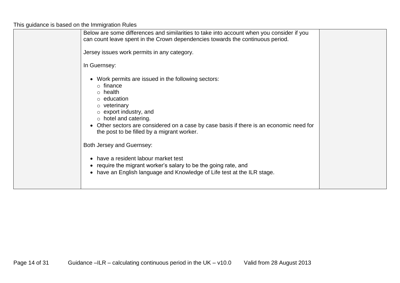| Below are some differences and similarities to take into account when you consider if you<br>can count leave spent in the Crown dependencies towards the continuous period.                                                                                                                                                                                                                                                                                                                                                                                    |  |
|----------------------------------------------------------------------------------------------------------------------------------------------------------------------------------------------------------------------------------------------------------------------------------------------------------------------------------------------------------------------------------------------------------------------------------------------------------------------------------------------------------------------------------------------------------------|--|
| Jersey issues work permits in any category.                                                                                                                                                                                                                                                                                                                                                                                                                                                                                                                    |  |
| In Guernsey:                                                                                                                                                                                                                                                                                                                                                                                                                                                                                                                                                   |  |
| • Work permits are issued in the following sectors:<br>$\circ$ finance<br>$\circ$ health<br>$\circ$ education<br>$\circ$ veterinary<br>$\circ$ export industry, and<br>$\circ$ hotel and catering.<br>• Other sectors are considered on a case by case basis if there is an economic need for<br>the post to be filled by a migrant worker.<br>Both Jersey and Guernsey:<br>• have a resident labour market test<br>• require the migrant worker's salary to be the going rate, and<br>• have an English language and Knowledge of Life test at the ILR stage. |  |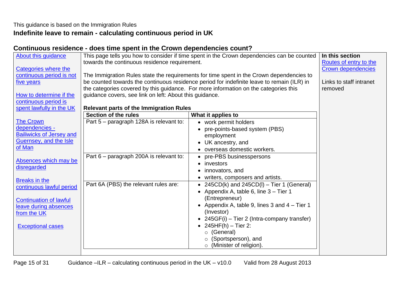#### <span id="page-14-0"></span>This guidance is based on the Immigration Rules **Indefinite leave to remain - calculating continuous period in UK**

## **Continuous residence - does time spent in the Crown dependencies count?**

| About this guidance             |                                                         | This page tells you how to consider if time spent in the Crown dependencies can be counted | In this section           |
|---------------------------------|---------------------------------------------------------|--------------------------------------------------------------------------------------------|---------------------------|
|                                 | towards the continuous residence requirement.           |                                                                                            | Routes of entry to the    |
| <b>Categories where the</b>     |                                                         |                                                                                            | <b>Crown dependencies</b> |
| continuous period is not        |                                                         | The Immigration Rules state the requirements for time spent in the Crown dependencies to   |                           |
| five years                      |                                                         | be counted towards the continuous residence period for indefinite leave to remain (ILR) in | Links to staff intranet   |
|                                 |                                                         | the categories covered by this guidance. For more information on the categories this       | removed                   |
| How to determine if the         | guidance covers, see link on left: About this guidance. |                                                                                            |                           |
| continuous period is            |                                                         |                                                                                            |                           |
| spent lawfully in the UK        | <b>Relevant parts of the Immigration Rules</b>          |                                                                                            |                           |
|                                 | Section of the rules                                    | What it applies to                                                                         |                           |
| <b>The Crown</b>                | Part 5 - paragraph 128A is relevant to:                 | • work permit holders                                                                      |                           |
| dependencies -                  |                                                         | pre-points-based system (PBS)                                                              |                           |
| <b>Bailiwicks of Jersey and</b> |                                                         | employment                                                                                 |                           |
| Guernsey, and the Isle          |                                                         | UK ancestry, and<br>$\bullet$                                                              |                           |
| of Man                          |                                                         | overseas domestic workers.                                                                 |                           |
|                                 | Part 6 – paragraph 200A is relevant to:                 | pre-PBS businesspersons<br>$\bullet$                                                       |                           |
| Absences which may be           |                                                         | investors<br>$\bullet$                                                                     |                           |
| disregarded                     |                                                         | innovators, and                                                                            |                           |
| <b>Breaks in the</b>            |                                                         | writers, composers and artists.<br>$\bullet$                                               |                           |
| continuous lawful period        | Part 6A (PBS) the relevant rules are:                   | • 245CD(k) and 245CD(l) – Tier 1 (General)                                                 |                           |
|                                 |                                                         | Appendix A, table 6, line 3 – Tier 1<br>$\bullet$                                          |                           |
| <b>Continuation of lawful</b>   |                                                         | (Entrepreneur)                                                                             |                           |
| leave during absences           |                                                         | Appendix A, table 9, lines 3 and 4 – Tier 1                                                |                           |
| from the UK                     |                                                         | (Investor)                                                                                 |                           |
|                                 |                                                         | • 245GF(i) – Tier 2 (Intra-company transfer)                                               |                           |
| <b>Exceptional cases</b>        |                                                         | • $245HF(h) - Tier 2$ :                                                                    |                           |
|                                 |                                                         | $\circ$ (General)                                                                          |                           |
|                                 |                                                         | (Sportsperson), and                                                                        |                           |
|                                 |                                                         | (Minister of religion).                                                                    |                           |
|                                 |                                                         |                                                                                            |                           |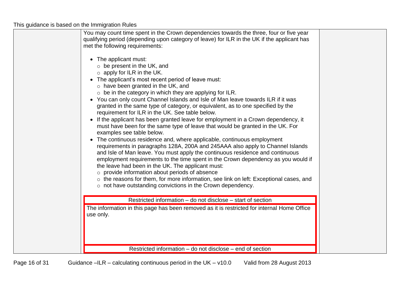| You may count time spent in the Crown dependencies towards the three, four or five year<br>qualifying period (depending upon category of leave) for ILR in the UK if the applicant has<br>met the following requirements:<br>• The applicant must:<br>$\circ$ be present in the UK, and<br>$\circ$ apply for ILR in the UK.<br>The applicant's most recent period of leave must:<br>$\circ$ have been granted in the UK, and<br>$\circ$ be in the category in which they are applying for ILR.<br>• You can only count Channel Islands and Isle of Man leave towards ILR if it was<br>granted in the same type of category, or equivalent, as to one specified by the<br>requirement for ILR in the UK. See table below.<br>If the applicant has been granted leave for employment in a Crown dependency, it<br>must have been for the same type of leave that would be granted in the UK. For<br>examples see table below.<br>The continuous residence and, where applicable, continuous employment<br>requirements in paragraphs 128A, 200A and 245AAA also apply to Channel Islands<br>and Isle of Man leave. You must apply the continuous residence and continuous<br>employment requirements to the time spent in the Crown dependency as you would if<br>the leave had been in the UK. The applicant must:<br>$\circ$ provide information about periods of absence<br>o the reasons for them, for more information, see link on left: Exceptional cases, and<br>$\circ$ not have outstanding convictions in the Crown dependency. |  |
|------------------------------------------------------------------------------------------------------------------------------------------------------------------------------------------------------------------------------------------------------------------------------------------------------------------------------------------------------------------------------------------------------------------------------------------------------------------------------------------------------------------------------------------------------------------------------------------------------------------------------------------------------------------------------------------------------------------------------------------------------------------------------------------------------------------------------------------------------------------------------------------------------------------------------------------------------------------------------------------------------------------------------------------------------------------------------------------------------------------------------------------------------------------------------------------------------------------------------------------------------------------------------------------------------------------------------------------------------------------------------------------------------------------------------------------------------------------------------------------------------------------------------------------|--|
| Restricted information – do not disclose – start of section                                                                                                                                                                                                                                                                                                                                                                                                                                                                                                                                                                                                                                                                                                                                                                                                                                                                                                                                                                                                                                                                                                                                                                                                                                                                                                                                                                                                                                                                              |  |
| The information in this page has been removed as it is restricted for internal Home Office<br>use only.                                                                                                                                                                                                                                                                                                                                                                                                                                                                                                                                                                                                                                                                                                                                                                                                                                                                                                                                                                                                                                                                                                                                                                                                                                                                                                                                                                                                                                  |  |
| Restricted information – do not disclose – end of section                                                                                                                                                                                                                                                                                                                                                                                                                                                                                                                                                                                                                                                                                                                                                                                                                                                                                                                                                                                                                                                                                                                                                                                                                                                                                                                                                                                                                                                                                |  |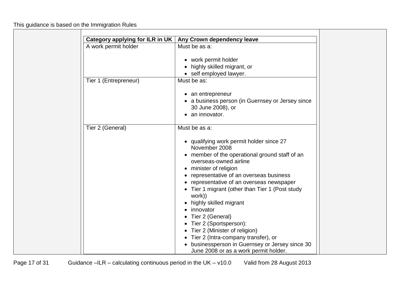| Category applying for ILR in UK | Any Crown dependency leave                     |
|---------------------------------|------------------------------------------------|
| A work permit holder            | Must be as a:                                  |
|                                 | work permit holder                             |
|                                 |                                                |
|                                 | highly skilled migrant, or                     |
|                                 | • self employed lawyer.                        |
| Tier 1 (Entrepreneur)           | Must be as:                                    |
|                                 | an entrepreneur                                |
|                                 | a business person (in Guernsey or Jersey since |
|                                 | 30 June 2008), or                              |
|                                 | an innovator.                                  |
|                                 |                                                |
| Tier 2 (General)                | Must be as a:                                  |
|                                 | • qualifying work permit holder since 27       |
|                                 | November 2008                                  |
|                                 | member of the operational ground staff of an   |
|                                 | overseas-owned airline                         |
|                                 | minister of religion                           |
|                                 | representative of an overseas business         |
|                                 | representative of an overseas newspaper        |
|                                 | Tier 1 migrant (other than Tier 1 (Post study  |
|                                 | work))                                         |
|                                 | highly skilled migrant                         |
|                                 | innovator                                      |
|                                 |                                                |
|                                 | Tier 2 (General)                               |
|                                 | Tier 2 (Sportsperson):                         |
|                                 | Tier 2 (Minister of religion)                  |
|                                 | Tier 2 (Intra-company transfer), or            |
|                                 | businessperson in Guernsey or Jersey since 30  |
|                                 | June 2008 or as a work permit holder.          |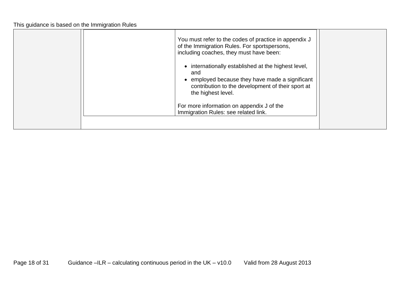| You must refer to the codes of practice in appendix J<br>of the Immigration Rules. For sportspersons,<br>including coaches, they must have been:                                                               |  |
|----------------------------------------------------------------------------------------------------------------------------------------------------------------------------------------------------------------|--|
| internationally established at the highest level,<br>$\bullet$<br>and<br>employed because they have made a significant<br>$\bullet$<br>contribution to the development of their sport at<br>the highest level. |  |
| For more information on appendix J of the<br>Immigration Rules: see related link.                                                                                                                              |  |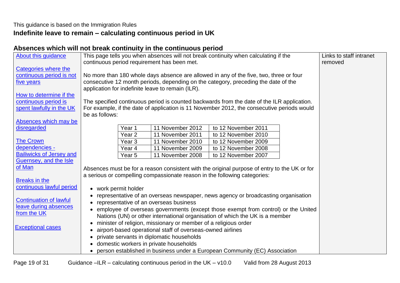# **Indefinite leave to remain – calculating continuous period in UK**

# <span id="page-18-0"></span>**Absences which will not break continuity in the continuous period**

| About this guidance                | This page tells you when absences will not break continuity when calculating if the          | Links to staff intranet |
|------------------------------------|----------------------------------------------------------------------------------------------|-------------------------|
|                                    | continuous period requirement has been met.                                                  | removed                 |
| <b>Categories where the</b>        |                                                                                              |                         |
| continuous period is not           | No more than 180 whole days absence are allowed in any of the five, two, three or four       |                         |
| five years                         | consecutive 12 month periods, depending on the category, preceding the date of the           |                         |
|                                    | application for indefinite leave to remain (ILR).                                            |                         |
| How to determine if the            |                                                                                              |                         |
| continuous period is               | The specified continuous period is counted backwards from the date of the ILR application.   |                         |
| spent lawfully in the UK           | For example, if the date of application is 11 November 2012, the consecutive periods would   |                         |
|                                    | be as follows:                                                                               |                         |
| Absences which may be              |                                                                                              |                         |
| disregarded                        | to 12 November 2011<br>11 November 2012<br>Year 1                                            |                         |
|                                    | 11 November 2011<br>to 12 November 2010<br>Year <sub>2</sub>                                 |                         |
| <b>The Crown</b><br>dependencies - | Year <sub>3</sub><br>11 November 2010<br>to 12 November 2009                                 |                         |
| <b>Bailiwicks of Jersey and</b>    | 11 November 2009<br>to 12 November 2008<br>Year 4                                            |                         |
| Guernsey, and the Isle             | 11 November 2008<br>to 12 November 2007<br>Year 5                                            |                         |
| of Man                             |                                                                                              |                         |
|                                    | Absences must be for a reason consistent with the original purpose of entry to the UK or for |                         |
| <b>Breaks in the</b>               | a serious or compelling compassionate reason in the following categories:                    |                         |
| continuous lawful period           | • work permit holder                                                                         |                         |
|                                    | representative of an overseas newspaper, news agency or broadcasting organisation            |                         |
| <b>Continuation of lawful</b>      | representative of an overseas business                                                       |                         |
| leave during absences              | • employee of overseas governments (except those exempt from control) or the United          |                         |
| from the UK                        | Nations (UN) or other international organisation of which the UK is a member                 |                         |
|                                    | minister of religion, missionary or member of a religious order                              |                         |
| <b>Exceptional cases</b>           | airport-based operational staff of overseas-owned airlines                                   |                         |
|                                    | private servants in diplomatic households                                                    |                         |
|                                    | domestic workers in private households                                                       |                         |
|                                    | • person established in business under a European Community (EC) Association                 |                         |
|                                    |                                                                                              |                         |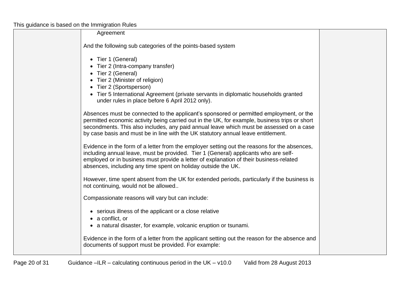| Agreement                                                                                                                                                                                                                                                                                                                                                                |  |
|--------------------------------------------------------------------------------------------------------------------------------------------------------------------------------------------------------------------------------------------------------------------------------------------------------------------------------------------------------------------------|--|
| And the following sub categories of the points-based system                                                                                                                                                                                                                                                                                                              |  |
| • Tier 1 (General)<br>• Tier 2 (Intra-company transfer)<br>• Tier 2 (General)<br>• Tier 2 (Minister of religion)<br>• Tier 2 (Sportsperson)<br>• Tier 5 International Agreement (private servants in diplomatic households granted<br>under rules in place before 6 April 2012 only).                                                                                    |  |
| Absences must be connected to the applicant's sponsored or permitted employment, or the<br>permitted economic activity being carried out in the UK, for example, business trips or short<br>secondments. This also includes, any paid annual leave which must be assessed on a case<br>by case basis and must be in line with the UK statutory annual leave entitlement. |  |
| Evidence in the form of a letter from the employer setting out the reasons for the absences,<br>including annual leave, must be provided. Tier 1 (General) applicants who are self-<br>employed or in business must provide a letter of explanation of their business-related<br>absences, including any time spent on holiday outside the UK.                           |  |
| However, time spent absent from the UK for extended periods, particularly if the business is<br>not continuing, would not be allowed                                                                                                                                                                                                                                     |  |
| Compassionate reasons will vary but can include:                                                                                                                                                                                                                                                                                                                         |  |
| • serious illness of the applicant or a close relative<br>$\bullet$ a conflict, or<br>• a natural disaster, for example, volcanic eruption or tsunami.                                                                                                                                                                                                                   |  |
| Evidence in the form of a letter from the applicant setting out the reason for the absence and<br>documents of support must be provided. For example:                                                                                                                                                                                                                    |  |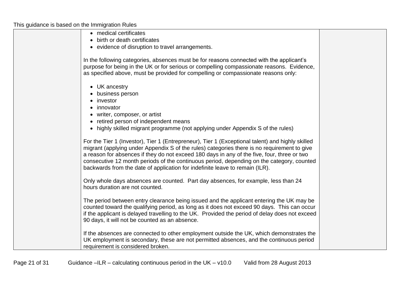| • medical certificates                                                                                                                                                                                                                                                                                                                                                                                                                                                      |  |
|-----------------------------------------------------------------------------------------------------------------------------------------------------------------------------------------------------------------------------------------------------------------------------------------------------------------------------------------------------------------------------------------------------------------------------------------------------------------------------|--|
| • birth or death certificates<br>• evidence of disruption to travel arrangements.                                                                                                                                                                                                                                                                                                                                                                                           |  |
|                                                                                                                                                                                                                                                                                                                                                                                                                                                                             |  |
| In the following categories, absences must be for reasons connected with the applicant's<br>purpose for being in the UK or for serious or compelling compassionate reasons. Evidence,<br>as specified above, must be provided for compelling or compassionate reasons only:                                                                                                                                                                                                 |  |
| • UK ancestry<br>• business person<br>investor<br>• innovator<br>• writer, composer, or artist<br>• retired person of independent means<br>• highly skilled migrant programme (not applying under Appendix S of the rules)                                                                                                                                                                                                                                                  |  |
| For the Tier 1 (Investor), Tier 1 (Entrepreneur), Tier 1 (Exceptional talent) and highly skilled<br>migrant (applying under Appendix S of the rules) categories there is no requirement to give<br>a reason for absences if they do not exceed 180 days in any of the five, four, three or two<br>consecutive 12 month periods of the continuous period, depending on the category, counted<br>backwards from the date of application for indefinite leave to remain (ILR). |  |
| Only whole days absences are counted. Part day absences, for example, less than 24<br>hours duration are not counted.                                                                                                                                                                                                                                                                                                                                                       |  |
| The period between entry clearance being issued and the applicant entering the UK may be<br>counted toward the qualifying period, as long as it does not exceed 90 days. This can occur<br>if the applicant is delayed travelling to the UK. Provided the period of delay does not exceed<br>90 days, it will not be counted as an absence.                                                                                                                                 |  |
| If the absences are connected to other employment outside the UK, which demonstrates the<br>UK employment is secondary, these are not permitted absences, and the continuous period<br>requirement is considered broken.                                                                                                                                                                                                                                                    |  |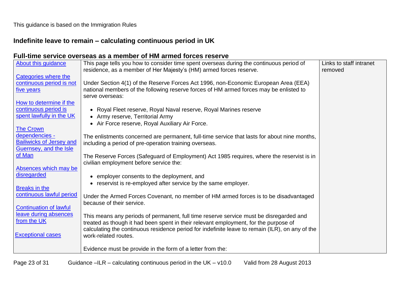# **Indefinite leave to remain – calculating continuous period in UK**

# **Full-time service overseas as a member of HM armed forces reserve**

| About this guidance             | This page tells you how to consider time spent overseas during the continuous period of<br>residence, as a member of Her Majesty's (HM) armed forces reserve. | Links to staff intranet<br>removed |
|---------------------------------|---------------------------------------------------------------------------------------------------------------------------------------------------------------|------------------------------------|
| Categories where the            |                                                                                                                                                               |                                    |
| continuous period is not        | Under Section 4(1) of the Reserve Forces Act 1996, non-Economic European Area (EEA)                                                                           |                                    |
| five years                      | national members of the following reserve forces of HM armed forces may be enlisted to                                                                        |                                    |
|                                 | serve overseas:                                                                                                                                               |                                    |
| How to determine if the         |                                                                                                                                                               |                                    |
| continuous period is            | Royal Fleet reserve, Royal Naval reserve, Royal Marines reserve<br>$\bullet$                                                                                  |                                    |
| spent lawfully in the UK        | • Army reserve, Territorial Army                                                                                                                              |                                    |
|                                 | • Air Force reserve, Royal Auxiliary Air Force.                                                                                                               |                                    |
| <b>The Crown</b>                |                                                                                                                                                               |                                    |
| dependencies -                  | The enlistments concerned are permanent, full-time service that lasts for about nine months,                                                                  |                                    |
| <b>Bailiwicks of Jersey and</b> | including a period of pre-operation training overseas.                                                                                                        |                                    |
| Guernsey, and the Isle          |                                                                                                                                                               |                                    |
| of Man                          | The Reserve Forces (Safeguard of Employment) Act 1985 requires, where the reservist is in                                                                     |                                    |
|                                 | civilian employment before service the:                                                                                                                       |                                    |
| Absences which may be           |                                                                                                                                                               |                                    |
| disregarded                     | • employer consents to the deployment, and                                                                                                                    |                                    |
|                                 | • reservist is re-employed after service by the same employer.                                                                                                |                                    |
| Breaks in the                   |                                                                                                                                                               |                                    |
| continuous lawful period        | Under the Armed Forces Covenant, no member of HM armed forces is to be disadvantaged                                                                          |                                    |
|                                 | because of their service.                                                                                                                                     |                                    |
| <b>Continuation of lawful</b>   |                                                                                                                                                               |                                    |
| leave during absences           | This means any periods of permanent, full time reserve service must be disregarded and                                                                        |                                    |
| from the UK                     | treated as though it had been spent in their relevant employment, for the purpose of                                                                          |                                    |
|                                 | calculating the continuous residence period for indefinite leave to remain (ILR), on any of the                                                               |                                    |
| <b>Exceptional cases</b>        | work-related routes.                                                                                                                                          |                                    |
|                                 |                                                                                                                                                               |                                    |
|                                 | Evidence must be provide in the form of a letter from the:                                                                                                    |                                    |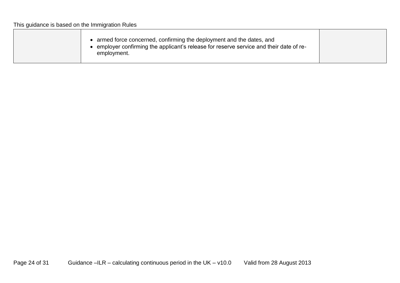| This guidance is based on the Immigration Rules |                                                                                                                                                                             |  |
|-------------------------------------------------|-----------------------------------------------------------------------------------------------------------------------------------------------------------------------------|--|
|                                                 | armed force concerned, confirming the deployment and the dates, and<br>employer confirming the applicant's release for reserve service and their date of re-<br>employment. |  |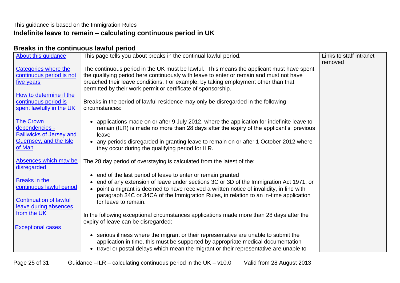## This guidance is based on the Immigration Rules **Indefinite leave to remain – calculating continuous period in UK**

## <span id="page-24-0"></span>**Breaks in the continuous lawful period**

| <b>About this guidance</b>                                                                                                                    | This page tells you about breaks in the continual lawful period.                                                                                                                                                                                                                                                                                                                                                                                  | Links to staff intranet |
|-----------------------------------------------------------------------------------------------------------------------------------------------|---------------------------------------------------------------------------------------------------------------------------------------------------------------------------------------------------------------------------------------------------------------------------------------------------------------------------------------------------------------------------------------------------------------------------------------------------|-------------------------|
| Categories where the<br>continuous period is not<br>five years<br>How to determine if the<br>continuous period is<br>spent lawfully in the UK | The continuous period in the UK must be lawful. This means the applicant must have spent<br>the qualifying period here continuously with leave to enter or remain and must not have<br>breached their leave conditions. For example, by taking employment other than that<br>permitted by their work permit or certificate of sponsorship.<br>Breaks in the period of lawful residence may only be disregarded in the following<br>circumstances: | removed                 |
| <b>The Crown</b><br>dependencies -<br><b>Bailiwicks of Jersey and</b><br>Guernsey, and the Isle<br>of Man                                     | applications made on or after 9 July 2012, where the application for indefinite leave to<br>remain (ILR) is made no more than 28 days after the expiry of the applicant's previous<br>leave<br>any periods disregarded in granting leave to remain on or after 1 October 2012 where<br>they occur during the qualifying period for ILR.                                                                                                           |                         |
| Absences which may be                                                                                                                         | The 28 day period of overstaying is calculated from the latest of the:                                                                                                                                                                                                                                                                                                                                                                            |                         |
| disregarded<br><b>Breaks in the</b><br>continuous lawful period<br><b>Continuation of lawful</b><br>leave during absences                     | end of the last period of leave to enter or remain granted<br>end of any extension of leave under sections 3C or 3D of the Immigration Act 1971, or<br>point a migrant is deemed to have received a written notice of invalidity, in line with<br>paragraph 34C or 34CA of the Immigration Rules, in relation to an in-time application<br>for leave to remain.                                                                                   |                         |
| from the UK                                                                                                                                   | In the following exceptional circumstances applications made more than 28 days after the<br>expiry of leave can be disregarded:                                                                                                                                                                                                                                                                                                                   |                         |
| <b>Exceptional cases</b>                                                                                                                      |                                                                                                                                                                                                                                                                                                                                                                                                                                                   |                         |
|                                                                                                                                               | serious illness where the migrant or their representative are unable to submit the<br>$\bullet$<br>application in time, this must be supported by appropriate medical documentation<br>travel or postal delays which mean the migrant or their representative are unable to                                                                                                                                                                       |                         |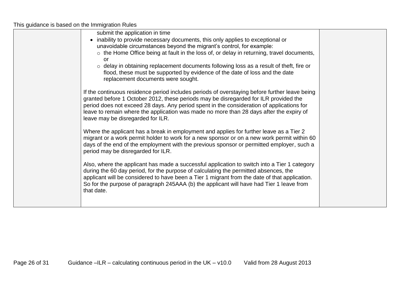| submit the application in time                                                                                                                                                            |  |
|-------------------------------------------------------------------------------------------------------------------------------------------------------------------------------------------|--|
| inability to provide necessary documents, this only applies to exceptional or                                                                                                             |  |
| unavoidable circumstances beyond the migrant's control, for example:                                                                                                                      |  |
| $\circ$ the Home Office being at fault in the loss of, or delay in returning, travel documents,                                                                                           |  |
| Ωľ                                                                                                                                                                                        |  |
| $\circ$ delay in obtaining replacement documents following loss as a result of theft, fire or                                                                                             |  |
| flood, these must be supported by evidence of the date of loss and the date                                                                                                               |  |
| replacement documents were sought.                                                                                                                                                        |  |
| If the continuous residence period includes periods of overstaying before further leave being                                                                                             |  |
| granted before 1 October 2012, these periods may be disregarded for ILR provided the                                                                                                      |  |
| period does not exceed 28 days. Any period spent in the consideration of applications for                                                                                                 |  |
| leave to remain where the application was made no more than 28 days after the expiry of                                                                                                   |  |
| leave may be disregarded for ILR.                                                                                                                                                         |  |
|                                                                                                                                                                                           |  |
| Where the applicant has a break in employment and applies for further leave as a Tier 2                                                                                                   |  |
| migrant or a work permit holder to work for a new sponsor or on a new work permit within 60                                                                                               |  |
| days of the end of the employment with the previous sponsor or permitted employer, such a                                                                                                 |  |
| period may be disregarded for ILR.                                                                                                                                                        |  |
|                                                                                                                                                                                           |  |
| Also, where the applicant has made a successful application to switch into a Tier 1 category                                                                                              |  |
| during the 60 day period, for the purpose of calculating the permitted absences, the                                                                                                      |  |
| applicant will be considered to have been a Tier 1 migrant from the date of that application.<br>So for the purpose of paragraph 245AAA (b) the applicant will have had Tier 1 leave from |  |
| that date.                                                                                                                                                                                |  |
|                                                                                                                                                                                           |  |
|                                                                                                                                                                                           |  |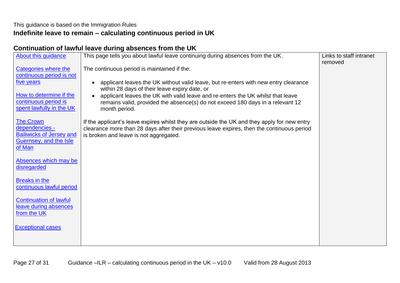# **Indefinite leave to remain – calculating continuous period in UK**

# <span id="page-26-0"></span>**Continuation of lawful leave during absences from the UK**

| About this guidance                                                                             | This page tells you about lawful leave continuing during absences from the UK.                                                                                                                                                       | Links to staff intranet |
|-------------------------------------------------------------------------------------------------|--------------------------------------------------------------------------------------------------------------------------------------------------------------------------------------------------------------------------------------|-------------------------|
| <b>Categories where the</b>                                                                     | The continuous period is maintained if the:                                                                                                                                                                                          | removed                 |
| continuous period is not                                                                        |                                                                                                                                                                                                                                      |                         |
| five years                                                                                      | applicant leaves the UK without valid leave, but re-enters with new entry clearance<br>within 28 days of their leave expiry date, or                                                                                                 |                         |
| How to determine if the<br>continuous period is<br>spent lawfully in the UK                     | applicant leaves the UK with valid leave and re-enters the UK whilst that leave<br>remains valid, provided the absence(s) do not exceed 180 days in a relevant 12<br>month period.                                                   |                         |
| <b>The Crown</b><br>dependencies -<br><b>Bailiwicks of Jersey and</b><br>Guernsey, and the Isle | If the applicant's leave expires whilst they are outside the UK and they apply for new entry<br>clearance more than 28 days after their previous leave expires, then the continuous period<br>is broken and leave is not aggregated. |                         |
| of Man                                                                                          |                                                                                                                                                                                                                                      |                         |
| Absences which may be<br>disregarded                                                            |                                                                                                                                                                                                                                      |                         |
| <b>Breaks in the</b><br>continuous lawful period                                                |                                                                                                                                                                                                                                      |                         |
| <b>Continuation of lawful</b><br>leave during absences<br>from the UK                           |                                                                                                                                                                                                                                      |                         |
| <b>Exceptional cases</b>                                                                        |                                                                                                                                                                                                                                      |                         |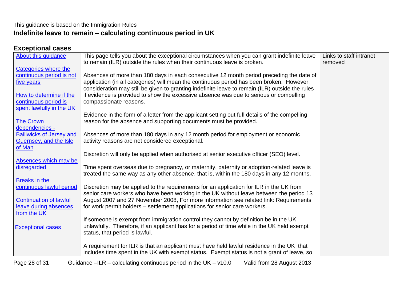#### This guidance is based on the Immigration Rules **Indefinite leave to remain – calculating continuous period in UK**

# <span id="page-27-0"></span>**Exceptional cases**

| About this quidance             | This page tells you about the exceptional circumstances when you can grant indefinite leave<br>to remain (ILR) outside the rules when their continuous leave is broken. | Links to staff intranet<br>removed |
|---------------------------------|-------------------------------------------------------------------------------------------------------------------------------------------------------------------------|------------------------------------|
| Categories where the            |                                                                                                                                                                         |                                    |
| continuous period is not        | Absences of more than 180 days in each consecutive 12 month period preceding the date of                                                                                |                                    |
| five years                      | application (in all categories) will mean the continuous period has been broken. However,                                                                               |                                    |
|                                 | consideration may still be given to granting indefinite leave to remain (ILR) outside the rules                                                                         |                                    |
| How to determine if the         | if evidence is provided to show the excessive absence was due to serious or compelling                                                                                  |                                    |
| continuous period is            | compassionate reasons.                                                                                                                                                  |                                    |
| spent lawfully in the UK        |                                                                                                                                                                         |                                    |
|                                 | Evidence in the form of a letter from the applicant setting out full details of the compelling                                                                          |                                    |
| <b>The Crown</b>                | reason for the absence and supporting documents must be provided.                                                                                                       |                                    |
| dependencies -                  |                                                                                                                                                                         |                                    |
| <b>Bailiwicks of Jersey and</b> | Absences of more than 180 days in any 12 month period for employment or economic                                                                                        |                                    |
| Guernsey, and the Isle          | activity reasons are not considered exceptional.                                                                                                                        |                                    |
| of Man                          |                                                                                                                                                                         |                                    |
|                                 | Discretion will only be applied when authorised at senior executive officer (SEO) level.                                                                                |                                    |
| Absences which may be           |                                                                                                                                                                         |                                    |
| disregarded                     | Time spent overseas due to pregnancy, or maternity, paternity or adoption-related leave is                                                                              |                                    |
|                                 | treated the same way as any other absence, that is, within the 180 days in any 12 months.                                                                               |                                    |
| <b>Breaks in the</b>            |                                                                                                                                                                         |                                    |
| continuous lawful period        | Discretion may be applied to the requirements for an application for ILR in the UK from                                                                                 |                                    |
|                                 | senior care workers who have been working in the UK without leave between the period 13                                                                                 |                                    |
| <b>Continuation of lawful</b>   | August 2007 and 27 November 2008, For more information see related link: Requirements                                                                                   |                                    |
| leave during absences           | for work permit holders – settlement applications for senior care workers.                                                                                              |                                    |
| from the UK                     |                                                                                                                                                                         |                                    |
|                                 | If someone is exempt from immigration control they cannot by definition be in the UK                                                                                    |                                    |
| <b>Exceptional cases</b>        | unlawfully. Therefore, if an applicant has for a period of time while in the UK held exempt                                                                             |                                    |
|                                 | status, that period is lawful.                                                                                                                                          |                                    |
|                                 |                                                                                                                                                                         |                                    |
|                                 | A requirement for ILR is that an applicant must have held lawful residence in the UK that                                                                               |                                    |
|                                 | includes time spent in the UK with exempt status. Exempt status is not a grant of leave, so                                                                             |                                    |
|                                 |                                                                                                                                                                         |                                    |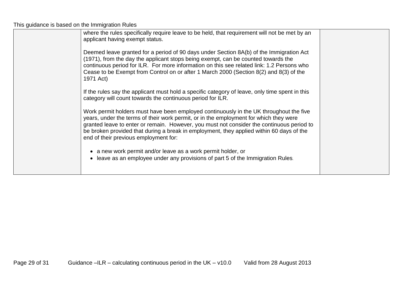| where the rules specifically require leave to be held, that requirement will not be met by an<br>applicant having exempt status.                                                                                                                                                                                                                                                                                  |  |
|-------------------------------------------------------------------------------------------------------------------------------------------------------------------------------------------------------------------------------------------------------------------------------------------------------------------------------------------------------------------------------------------------------------------|--|
| Deemed leave granted for a period of 90 days under Section 8A(b) of the Immigration Act<br>(1971), from the day the applicant stops being exempt, can be counted towards the<br>continuous period for ILR. For more information on this see related link: 1.2 Persons who<br>Cease to be Exempt from Control on or after 1 March 2000 (Section 8(2) and 8(3) of the<br>1971 Act)                                  |  |
| If the rules say the applicant must hold a specific category of leave, only time spent in this<br>category will count towards the continuous period for ILR.                                                                                                                                                                                                                                                      |  |
| Work permit holders must have been employed continuously in the UK throughout the five<br>years, under the terms of their work permit, or in the employment for which they were<br>granted leave to enter or remain. However, you must not consider the continuous period to<br>be broken provided that during a break in employment, they applied within 60 days of the<br>end of their previous employment for: |  |
| • a new work permit and/or leave as a work permit holder, or<br>• leave as an employee under any provisions of part 5 of the Immigration Rules.                                                                                                                                                                                                                                                                   |  |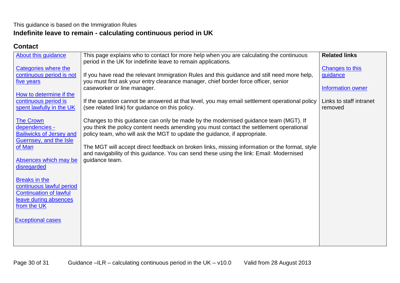# This guidance is based on the Immigration Rules **Indefinite leave to remain - calculating continuous period in UK**

## <span id="page-29-0"></span>**Contact**

| <b>About this guidance</b>                                                                                         | This page explains who to contact for more help when you are calculating the continuous<br>period in the UK for indefinite leave to remain applications.                                                                                                                                                                                                                                                                                                | <b>Related links</b>                             |
|--------------------------------------------------------------------------------------------------------------------|---------------------------------------------------------------------------------------------------------------------------------------------------------------------------------------------------------------------------------------------------------------------------------------------------------------------------------------------------------------------------------------------------------------------------------------------------------|--------------------------------------------------|
| Categories where the<br>continuous period is not<br>five years                                                     | If you have read the relevant Immigration Rules and this guidance and still need more help,<br>you must first ask your entry clearance manager, chief border force officer, senior<br>caseworker or line manager.                                                                                                                                                                                                                                       | Changes to this<br>guidance<br>Information owner |
| How to determine if the<br>continuous period is<br>spent lawfully in the UK                                        | If the question cannot be answered at that level, you may email settlement operational policy<br>(see related link) for guidance on this policy.                                                                                                                                                                                                                                                                                                        | Links to staff intranet<br>removed               |
| <b>The Crown</b><br>dependencies -<br><b>Bailiwicks of Jersey and</b><br>Guernsey, and the Isle<br>of Man          | Changes to this guidance can only be made by the modernised guidance team (MGT). If<br>you think the policy content needs amending you must contact the settlement operational<br>policy team, who will ask the MGT to update the guidance, if appropriate.<br>The MGT will accept direct feedback on broken links, missing information or the format, style<br>and navigability of this guidance. You can send these using the link: Email: Modernised |                                                  |
| Absences which may be<br>disregarded                                                                               | quidance team.                                                                                                                                                                                                                                                                                                                                                                                                                                          |                                                  |
| Breaks in the<br>continuous lawful period<br><b>Continuation of lawful</b><br>leave during absences<br>from the UK |                                                                                                                                                                                                                                                                                                                                                                                                                                                         |                                                  |
| <b>Exceptional cases</b>                                                                                           |                                                                                                                                                                                                                                                                                                                                                                                                                                                         |                                                  |